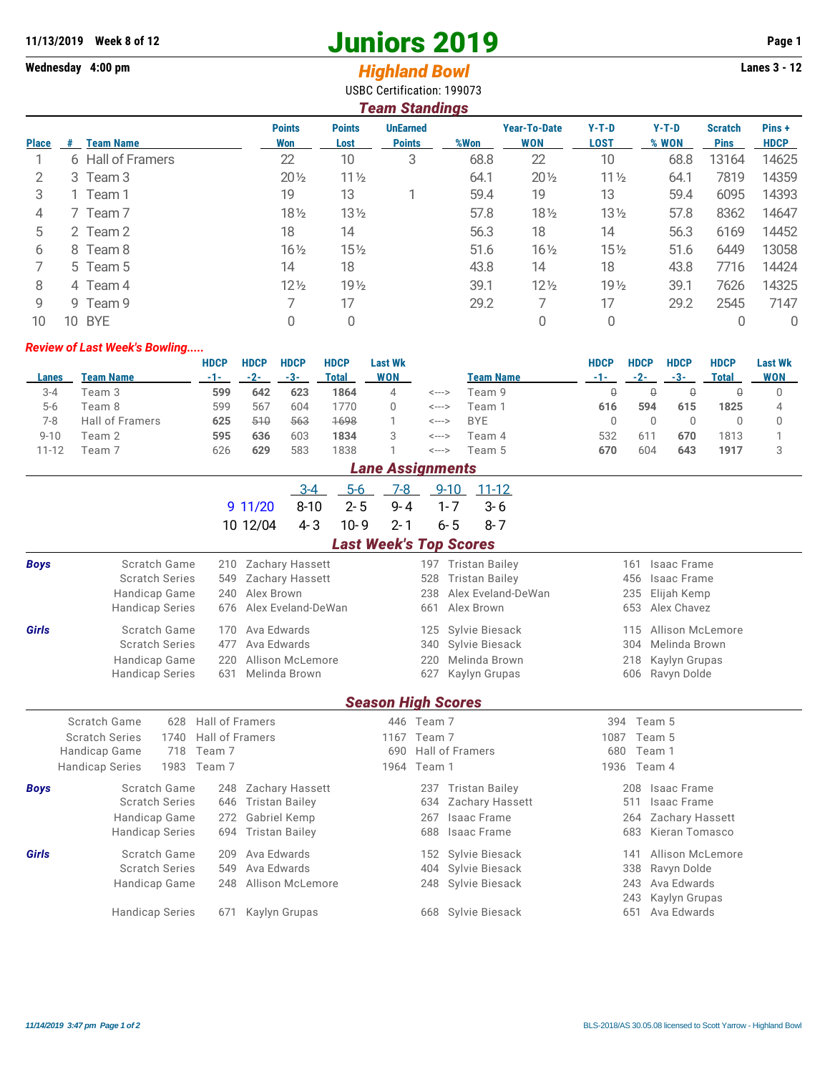## **11/13/2019** Week 8 of 12<br> **11/13/2019** Page 1<br> **11/13/2019** Page 1<br> **11/13/2019** Page 1<br> **11/13/2019** Page 1<br> **11/13/2019** Page 1<br> **11/13/2019** Page 1<br> **11/13/2019** Page 1

## Wednesday 4:00 pm<br> **Highland Bowl**

USBC Certification: 199073

| <b>Team Standings</b> |    |                   |                      |                       |                                  |      |                                   |                        |                  |                               |                      |  |
|-----------------------|----|-------------------|----------------------|-----------------------|----------------------------------|------|-----------------------------------|------------------------|------------------|-------------------------------|----------------------|--|
| <b>Place</b>          | #  | <b>Team Name</b>  | <b>Points</b><br>Won | <b>Points</b><br>Lost | <b>UnEarned</b><br><b>Points</b> | %Won | <b>Year-To-Date</b><br><b>WON</b> | $Y-T-D$<br><b>LOST</b> | $Y-T-D$<br>% WON | <b>Scratch</b><br><b>Pins</b> | Pins+<br><b>HDCP</b> |  |
|                       |    | 6 Hall of Framers | 22                   | 10                    | 3                                | 68.8 | 22                                | 10                     | 68.8             | 13164                         | 14625                |  |
| 2                     |    | 3 Team 3          | $20\frac{1}{2}$      | $11\frac{1}{2}$       |                                  | 64.1 | $20\frac{1}{2}$                   | $11\frac{1}{2}$        | 64.1             | 7819                          | 14359                |  |
| 3                     |    | 1 Team 1          | 19                   | 13                    |                                  | 59.4 | 19                                | 13                     | 59.4             | 6095                          | 14393                |  |
| 4                     |    | 7 Team 7          | 181/2                | $13\frac{1}{2}$       |                                  | 57.8 | $18\frac{1}{2}$                   | $13\frac{1}{2}$        | 57.8             | 8362                          | 14647                |  |
| 5                     |    | 2 Team 2          | 18                   | 14                    |                                  | 56.3 | 18                                | 14                     | 56.3             | 6169                          | 14452                |  |
| 6                     |    | 8 Team 8          | $16\frac{1}{2}$      | $15\%$                |                                  | 51.6 | $16\frac{1}{2}$                   | $15\frac{1}{2}$        | 51.6             | 6449                          | 13058                |  |
|                       |    | 5 Team 5          | 14                   | 18                    |                                  | 43.8 | 14                                | 18                     | 43.8             | 7716                          | 14424                |  |
| 8                     |    | 4 Team 4          | $12\frac{1}{2}$      | 19 <sub>2</sub>       |                                  | 39.1 | $12\frac{1}{2}$                   | 19 <sub>2</sub>        | 39.1             | 7626                          | 14325                |  |
| 9                     |    | 9 Team 9          |                      | 17                    |                                  | 29.2 |                                   | 17                     | 29.2             | 2545                          | 7147                 |  |
| 10                    | 10 | <b>BYE</b>        | 0                    |                       |                                  |      |                                   | 0                      |                  |                               | 0                    |  |

## *Review of Last Week's Bowling.....*

|          |                        | <b>HDCP</b> | <b>HDCP</b> | <b>HDCP</b> | <b>HDCP</b> | Last Wk    |       |            | HDCP | HDCP  | HDCP  | <b>HDCP</b> | <b>Last Wk</b> |
|----------|------------------------|-------------|-------------|-------------|-------------|------------|-------|------------|------|-------|-------|-------------|----------------|
| Lanes    | Team Name              | $-1-$       | $-2-$       | -3-         | Total       | <b>WON</b> |       | Team Name  | -1-  | $-2-$ | $-3-$ | Total       | <b>WON</b>     |
| 3-4      | Team 3                 | 599         | 642         | 623         | 1864        |            | <---> | Team 9     |      |       |       |             |                |
| $5-6$    | Team 8                 | 599         | 567         | 604         | 770         |            | <---> | Team 1     | 616  | 594   | 615   | 1825        |                |
| 7-8      | <b>Hall of Framers</b> | 625         | 510         | 563         | 1698        |            | <---> | <b>BYE</b> |      |       |       |             |                |
| $9 - 10$ | Team 2                 | 595         | 636         | 603         | 1834        |            | <---> | Team 4     | 532  | 61    | 670   | 1813        |                |
| 11-12    | Feam 7                 | 626         | 629         | 583         | 1838        |            | <---> | Team 5     | 670  | 604   | 643   | 1917        |                |

| <b>Lane Assignments</b> |                                                                       |                              |                        |                           |         |                      |                       |             |                           |  |  |  |  |  |
|-------------------------|-----------------------------------------------------------------------|------------------------------|------------------------|---------------------------|---------|----------------------|-----------------------|-------------|---------------------------|--|--|--|--|--|
|                         |                                                                       |                              | - 3-4                  | $5-6$                     | $7-8$   | 9-10                 | $11 - 12$             |             |                           |  |  |  |  |  |
|                         |                                                                       |                              | $8 - 10$<br>9 11/20    | $2 - 5$                   | $9 - 4$ | $1 - 7$              | $3 - 6$               |             |                           |  |  |  |  |  |
|                         |                                                                       |                              | $4 - 3$<br>10 12/04    | $10 - 9$                  | $2 - 1$ | $6 - 5$              | $8 - 7$               |             |                           |  |  |  |  |  |
|                         | <b>Last Week's Top Scores</b>                                         |                              |                        |                           |         |                      |                       |             |                           |  |  |  |  |  |
| <b>Boys</b>             | Scratch Game                                                          | 210                          | <b>Zachary Hassett</b> |                           | 197     |                      | <b>Tristan Bailey</b> | 161         | Isaac Frame               |  |  |  |  |  |
|                         | <b>Scratch Series</b>                                                 | 549                          | Zachary Hassett        |                           | 528     |                      | <b>Tristan Bailey</b> |             | 456<br><b>Isaac Frame</b> |  |  |  |  |  |
|                         | Handicap Game                                                         | 240                          | Alex Brown             |                           | 238     |                      | Alex Eveland-DeWan    |             | 235<br>Elijah Kemp        |  |  |  |  |  |
|                         | <b>Handicap Series</b>                                                | Alex Eveland-DeWan           |                        |                           | 661     | Alex Brown           | 653                   | Alex Chavez |                           |  |  |  |  |  |
| Girls                   | Scratch Game                                                          | 170                          | Ava Edwards            |                           | 125     |                      | Sylvie Biesack        | 115         | Allison McLemore          |  |  |  |  |  |
|                         | <b>Scratch Series</b>                                                 | 477                          | Ava Edwards            |                           | 340     |                      | Sylvie Biesack        |             | Melinda Brown<br>304      |  |  |  |  |  |
|                         | Handicap Game                                                         | 220                          | Allison McLemore       |                           |         | Melinda Brown<br>220 |                       |             | Kaylyn Grupas<br>218      |  |  |  |  |  |
|                         | <b>Handicap Series</b>                                                | 631                          | Melinda Brown          |                           | 627     |                      | Kaylyn Grupas         | 606         | Ravyn Dolde               |  |  |  |  |  |
|                         |                                                                       |                              |                        | <b>Season High Scores</b> |         |                      |                       |             |                           |  |  |  |  |  |
|                         | Scratch Game<br>Hall of Framers<br>628<br>446 Team 7<br>Team 5<br>394 |                              |                        |                           |         |                      |                       |             |                           |  |  |  |  |  |
|                         | Hall of Framers<br><b>Scratch Series</b><br>1740<br>1167<br>Team 7    |                              |                        |                           |         |                      | 1087<br>Team 5        |             |                           |  |  |  |  |  |
|                         | 718<br>Handicap Game                                                  | Team 7<br>690                |                        |                           |         | Hall of Framers      |                       | 680         | Team 1                    |  |  |  |  |  |
|                         | 1983<br><b>Handicap Series</b>                                        | Team 7                       |                        | 1964                      | Team 1  |                      |                       | 1936        | Team 4                    |  |  |  |  |  |
| <b>Boys</b>             | Scratch Game                                                          | 248                          | Zachary Hassett        |                           | 237     |                      | <b>Tristan Bailey</b> | 208         | Isaac Frame               |  |  |  |  |  |
|                         | <b>Scratch Series</b>                                                 | 646                          | <b>Tristan Bailey</b>  |                           | 634     |                      | Zachary Hassett       | 511         | <b>Isaac Frame</b>        |  |  |  |  |  |
|                         | Handicap Game                                                         | 272                          | Gabriel Kemp           |                           | 267     |                      | <b>Isaac Frame</b>    | 264         | Zachary Hassett           |  |  |  |  |  |
|                         | <b>Handicap Series</b>                                                | <b>Tristan Bailey</b><br>694 |                        |                           | 688     |                      | <b>Isaac Frame</b>    | 683         | Kieran Tomasco            |  |  |  |  |  |
| Girls                   | <b>Scratch Game</b>                                                   | 209                          | Ava Edwards            |                           | 152     |                      | Sylvie Biesack        | 141         | Allison McLemore          |  |  |  |  |  |
|                         | <b>Scratch Series</b>                                                 | Ava Edwards                  |                        | 404                       |         | Sylvie Biesack       | 338                   | Ravyn Dolde |                           |  |  |  |  |  |
|                         | Handicap Game                                                         | 248                          | Allison McLemore       |                           | 248     |                      | Sylvie Biesack        | 243         | Ava Edwards               |  |  |  |  |  |
|                         |                                                                       |                              |                        |                           |         |                      |                       | 243         | Kaylyn Grupas             |  |  |  |  |  |
|                         | <b>Handicap Series</b>                                                | 671                          | Kaylyn Grupas          |                           |         |                      | 668 Sylvie Biesack    | 651         | Ava Edwards               |  |  |  |  |  |
|                         |                                                                       |                              |                        |                           |         |                      |                       |             |                           |  |  |  |  |  |